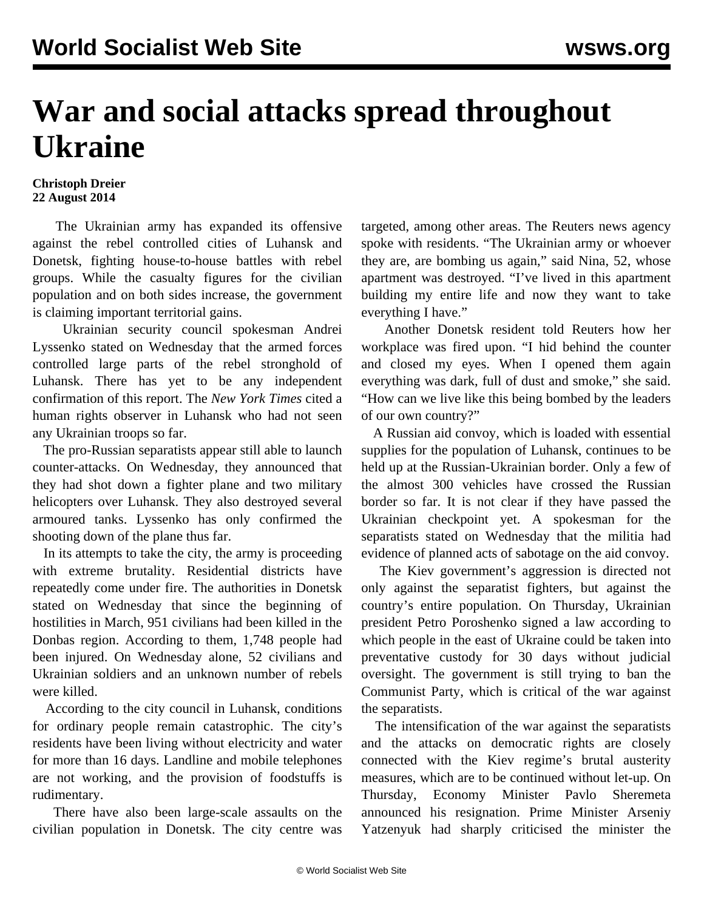## **War and social attacks spread throughout Ukraine**

## **Christoph Dreier 22 August 2014**

 The Ukrainian army has expanded its offensive against the rebel controlled cities of Luhansk and Donetsk, fighting house-to-house battles with rebel groups. While the casualty figures for the civilian population and on both sides increase, the government is claiming important territorial gains.

 Ukrainian security council spokesman Andrei Lyssenko stated on Wednesday that the armed forces controlled large parts of the rebel stronghold of Luhansk. There has yet to be any independent confirmation of this report. The *New York Times* cited a human rights observer in Luhansk who had not seen any Ukrainian troops so far.

 The pro-Russian separatists appear still able to launch counter-attacks. On Wednesday, they announced that they had shot down a fighter plane and two military helicopters over Luhansk. They also destroyed several armoured tanks. Lyssenko has only confirmed the shooting down of the plane thus far.

 In its attempts to take the city, the army is proceeding with extreme brutality. Residential districts have repeatedly come under fire. The authorities in Donetsk stated on Wednesday that since the beginning of hostilities in March, 951 civilians had been killed in the Donbas region. According to them, 1,748 people had been injured. On Wednesday alone, 52 civilians and Ukrainian soldiers and an unknown number of rebels were killed.

 According to the city council in Luhansk, conditions for ordinary people remain catastrophic. The city's residents have been living without electricity and water for more than 16 days. Landline and mobile telephones are not working, and the provision of foodstuffs is rudimentary.

 There have also been large-scale assaults on the civilian population in Donetsk. The city centre was targeted, among other areas. The Reuters news agency spoke with residents. "The Ukrainian army or whoever they are, are bombing us again," said Nina, 52, whose apartment was destroyed. "I've lived in this apartment building my entire life and now they want to take everything I have."

 Another Donetsk resident told Reuters how her workplace was fired upon. "I hid behind the counter and closed my eyes. When I opened them again everything was dark, full of dust and smoke," she said. "How can we live like this being bombed by the leaders of our own country?"

 A Russian aid convoy, which is loaded with essential supplies for the population of Luhansk, continues to be held up at the Russian-Ukrainian border. Only a few of the almost 300 vehicles have crossed the Russian border so far. It is not clear if they have passed the Ukrainian checkpoint yet. A spokesman for the separatists stated on Wednesday that the militia had evidence of planned acts of sabotage on the aid convoy.

 The Kiev government's aggression is directed not only against the separatist fighters, but against the country's entire population. On Thursday, Ukrainian president Petro Poroshenko signed a law according to which people in the east of Ukraine could be taken into preventative custody for 30 days without judicial oversight. The government is still trying to ban the Communist Party, which is critical of the war against the separatists.

 The intensification of the war against the separatists and the attacks on democratic rights are closely connected with the Kiev regime's brutal austerity measures, which are to be continued without let-up. On Thursday, Economy Minister Pavlo Sheremeta announced his resignation. Prime Minister Arseniy Yatzenyuk had sharply criticised the minister the